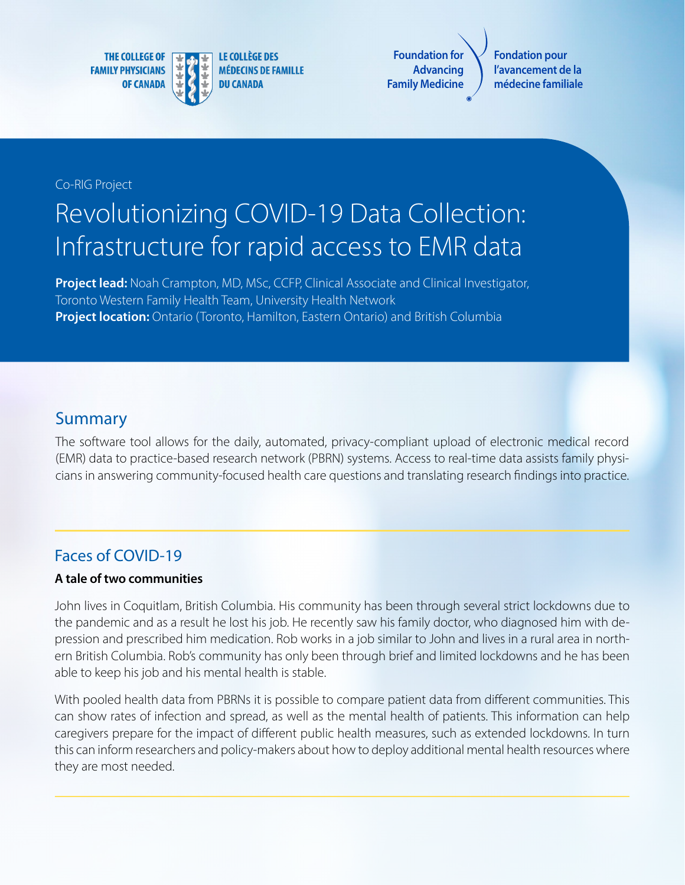**THE COLLEGE OF FAMILY PHYSICIANS OF CANADA** 



**Foundation for Family Medicine**

**Advancing**

**Fondation pour l'avancement de la médecine familiale**

#### Co-RIG Project

# Revolutionizing COVID-19 Data Collection: Infrastructure for rapid access to EMR data

**Project lead:** Noah Crampton, MD, MSc, CCFP, Clinical Associate and Clinical Investigator, Toronto Western Family Health Team, University Health Network **Project location:** Ontario (Toronto, Hamilton, Eastern Ontario) and British Columbia

## Summary

The software tool allows for the daily, automated, privacy-compliant upload of electronic medical record (EMR) data to practice-based research network (PBRN) systems. Access to real-time data assists family physicians in answering community-focused health care questions and translating research findings into practice.

## Faces of COVID-19

#### **A tale of two communities**

John lives in Coquitlam, British Columbia. His community has been through several strict lockdowns due to the pandemic and as a result he lost his job. He recently saw his family doctor, who diagnosed him with depression and prescribed him medication. Rob works in a job similar to John and lives in a rural area in northern British Columbia. Rob's community has only been through brief and limited lockdowns and he has been able to keep his job and his mental health is stable.

With pooled health data from PBRNs it is possible to compare patient data from different communities. This can show rates of infection and spread, as well as the mental health of patients. This information can help caregivers prepare for the impact of different public health measures, such as extended lockdowns. In turn this can inform researchers and policy-makers about how to deploy additional mental health resources where they are most needed.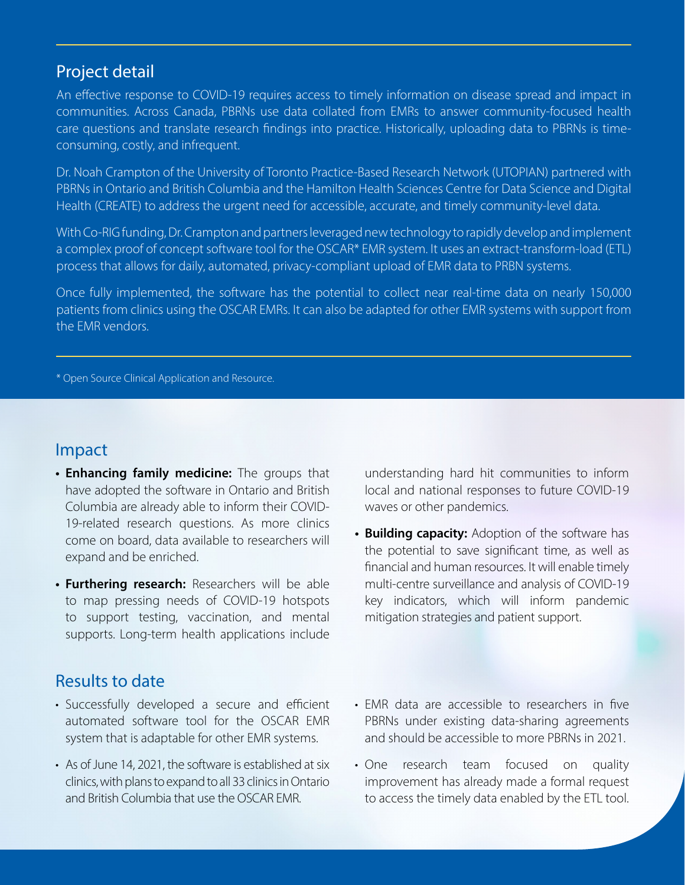#### Project detail

An effective response to COVID-19 requires access to timely information on disease spread and impact in communities. Across Canada, PBRNs use data collated from EMRs to answer community-focused health care questions and translate research findings into practice. Historically, uploading data to PBRNs is timeconsuming, costly, and infrequent.

Dr. Noah Crampton of the University of Toronto Practice-Based Research Network (UTOPIAN) partnered with PBRNs in Ontario and British Columbia and the Hamilton Health Sciences Centre for Data Science and Digital Health (CREATE) to address the urgent need for accessible, accurate, and timely community-level data.

With Co-RIG funding, Dr. Crampton and partners leveraged new technology to rapidly develop and implement a complex proof of concept software tool for the OSCAR\* EMR system. It uses an extract-transform-load (ETL) process that allows for daily, automated, privacy-compliant upload of EMR data to PRBN systems.

Once fully implemented, the software has the potential to collect near real-time data on nearly 150,000 patients from clinics using the OSCAR EMRs. It can also be adapted for other EMR systems with support from the EMR vendors.

\* Open Source Clinical Application and Resource.

#### Impact

- **• Enhancing family medicine:** The groups that have adopted the software in Ontario and British Columbia are already able to inform their COVID-19-related research questions. As more clinics come on board, data available to researchers will expand and be enriched.
- **• Furthering research:** Researchers will be able to map pressing needs of COVID-19 hotspots to support testing, vaccination, and mental supports. Long-term health applications include

understanding hard hit communities to inform local and national responses to future COVID-19 waves or other pandemics.

**• Building capacity:** Adoption of the software has the potential to save significant time, as well as financial and human resources. It will enable timely multi-centre surveillance and analysis of COVID-19 key indicators, which will inform pandemic mitigation strategies and patient support.

# Results to date

- Successfully developed a secure and efficient automated software tool for the OSCAR EMR system that is adaptable for other EMR systems.
- As of June 14, 2021, the software is established at six clinics, with plans to expand to all 33 clinics in Ontario and British Columbia that use the OSCAR EMR.
- EMR data are accessible to researchers in five PBRNs under existing data-sharing agreements and should be accessible to more PBRNs in 2021.
- One research team focused on quality improvement has already made a formal request to access the timely data enabled by the ETL tool.